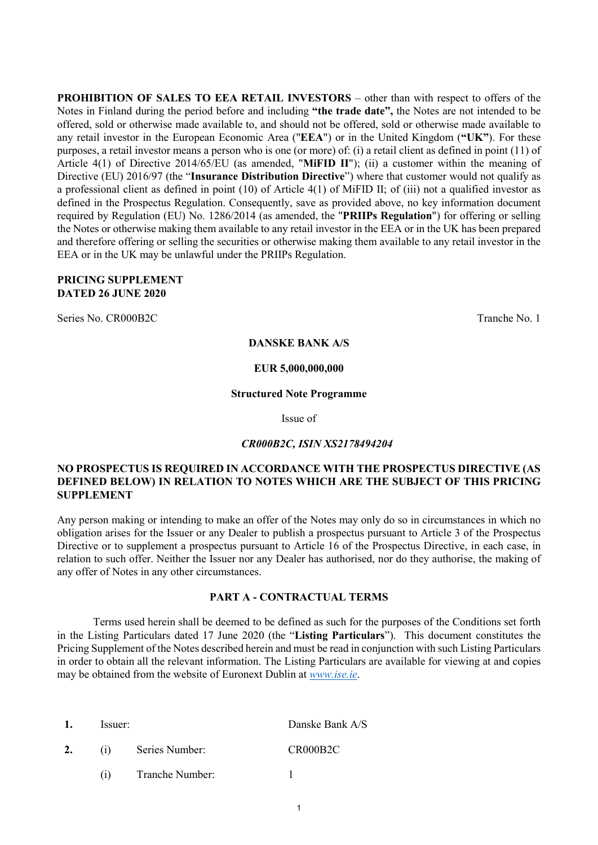**PROHIBITION OF SALES TO EEA RETAIL INVESTORS** – other than with respect to offers of the Notes in Finland during the period before and including **"the trade date",** the Notes are not intended to be offered, sold or otherwise made available to, and should not be offered, sold or otherwise made available to any retail investor in the European Economic Area ("**EEA**") or in the United Kingdom (**"UK"**). For these purposes, a retail investor means a person who is one (or more) of: (i) a retail client as defined in point (11) of Article 4(1) of Directive 2014/65/EU (as amended, "**MiFID II**"); (ii) a customer within the meaning of Directive (EU) 2016/97 (the "**Insurance Distribution Directive**") where that customer would not qualify as a professional client as defined in point (10) of Article 4(1) of MiFID II; of (iii) not a qualified investor as defined in the Prospectus Regulation. Consequently, save as provided above, no key information document required by Regulation (EU) No. 1286/2014 (as amended, the "**PRIIPs Regulation**") for offering or selling the Notes or otherwise making them available to any retail investor in the EEA or in the UK has been prepared and therefore offering or selling the securities or otherwise making them available to any retail investor in the EEA or in the UK may be unlawful under the PRIIPs Regulation.

### **PRICING SUPPLEMENT DATED 26 JUNE 2020**

Series No. CR000B2C Tranche No. 1

**DANSKE BANK A/S**

### **EUR 5,000,000,000**

#### **Structured Note Programme**

Issue of

### *CR000B2C, ISIN XS2178494204*

### **NO PROSPECTUS IS REQUIRED IN ACCORDANCE WITH THE PROSPECTUS DIRECTIVE (AS DEFINED BELOW) IN RELATION TO NOTES WHICH ARE THE SUBJECT OF THIS PRICING SUPPLEMENT**

Any person making or intending to make an offer of the Notes may only do so in circumstances in which no obligation arises for the Issuer or any Dealer to publish a prospectus pursuant to Article 3 of the Prospectus Directive or to supplement a prospectus pursuant to Article 16 of the Prospectus Directive, in each case, in relation to such offer. Neither the Issuer nor any Dealer has authorised, nor do they authorise, the making of any offer of Notes in any other circumstances.

### **PART A - CONTRACTUAL TERMS**

Terms used herein shall be deemed to be defined as such for the purposes of the Conditions set forth in the Listing Particulars dated 17 June 2020 (the "**Listing Particulars**"). This document constitutes the Pricing Supplement of the Notes described herein and must be read in conjunction with such Listing Particulars in order to obtain all the relevant information. The Listing Particulars are available for viewing at and copies may be obtained from the website of Euronext Dublin at *[www.ise.ie](file://192.168.159.6/Clientfiles$/Production/DPCWFC/2015/3%20March/82659/Draft/D1/WF/Formatting/www.ise.ie)*.

| 1. | Issuer: |                 | Danske Bank A/S |
|----|---------|-----------------|-----------------|
| 2. | (1)     | Series Number:  | CR000B2C        |
|    | (1)     | Tranche Number: |                 |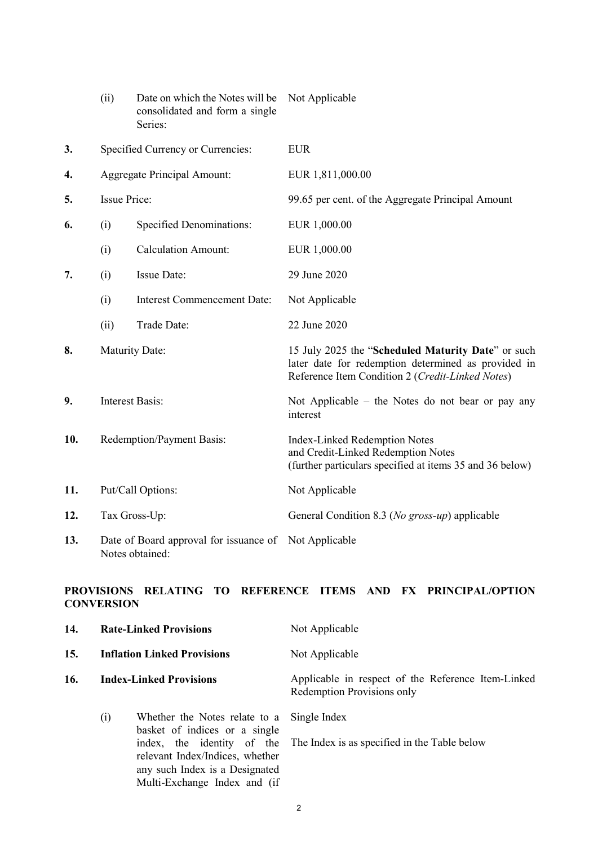|     | (ii)                      | Date on which the Notes will be<br>consolidated and form a single<br>Series: | Not Applicable                                                                                                                                                |
|-----|---------------------------|------------------------------------------------------------------------------|---------------------------------------------------------------------------------------------------------------------------------------------------------------|
| 3.  |                           | Specified Currency or Currencies:                                            | <b>EUR</b>                                                                                                                                                    |
| 4.  |                           | <b>Aggregate Principal Amount:</b>                                           | EUR 1,811,000.00                                                                                                                                              |
| 5.  | <b>Issue Price:</b>       |                                                                              | 99.65 per cent. of the Aggregate Principal Amount                                                                                                             |
| 6.  | (i)                       | <b>Specified Denominations:</b>                                              | EUR 1,000.00                                                                                                                                                  |
|     | (i)                       | <b>Calculation Amount:</b>                                                   | EUR 1,000.00                                                                                                                                                  |
| 7.  | (i)                       | Issue Date:                                                                  | 29 June 2020                                                                                                                                                  |
|     | (i)                       | <b>Interest Commencement Date:</b>                                           | Not Applicable                                                                                                                                                |
|     | (ii)                      | Trade Date:                                                                  | 22 June 2020                                                                                                                                                  |
| 8.  | <b>Maturity Date:</b>     |                                                                              | 15 July 2025 the "Scheduled Maturity Date" or such<br>later date for redemption determined as provided in<br>Reference Item Condition 2 (Credit-Linked Notes) |
| 9.  |                           | <b>Interest Basis:</b>                                                       | Not Applicable – the Notes do not bear or pay any<br>interest                                                                                                 |
| 10. | Redemption/Payment Basis: |                                                                              | <b>Index-Linked Redemption Notes</b><br>and Credit-Linked Redemption Notes<br>(further particulars specified at items 35 and 36 below)                        |
| 11. |                           | Put/Call Options:                                                            | Not Applicable                                                                                                                                                |
| 12. |                           | Tax Gross-Up:                                                                | General Condition 8.3 (No gross-up) applicable                                                                                                                |
| 13. |                           | Date of Board approval for issuance of Not Applicable<br>Notes obtained:     |                                                                                                                                                               |

# **PROVISIONS RELATING TO REFERENCE ITEMS AND FX PRINCIPAL/OPTION CONVERSION**

| 14. |     | <b>Rate-Linked Provisions</b>                                                                                                                                     | Not Applicable<br>Not Applicable                                                 |  |  |
|-----|-----|-------------------------------------------------------------------------------------------------------------------------------------------------------------------|----------------------------------------------------------------------------------|--|--|
| 15. |     | <b>Inflation Linked Provisions</b>                                                                                                                                |                                                                                  |  |  |
| 16. |     | <b>Index-Linked Provisions</b>                                                                                                                                    | Applicable in respect of the Reference Item-Linked<br>Redemption Provisions only |  |  |
|     | (i) | Whether the Notes relate to a<br>basket of indices or a single<br>index, the identity of the<br>relevant Index/Indices, whether<br>any such Index is a Designated | Single Index<br>The Index is as specified in the Table below                     |  |  |

Multi-Exchange Index and (if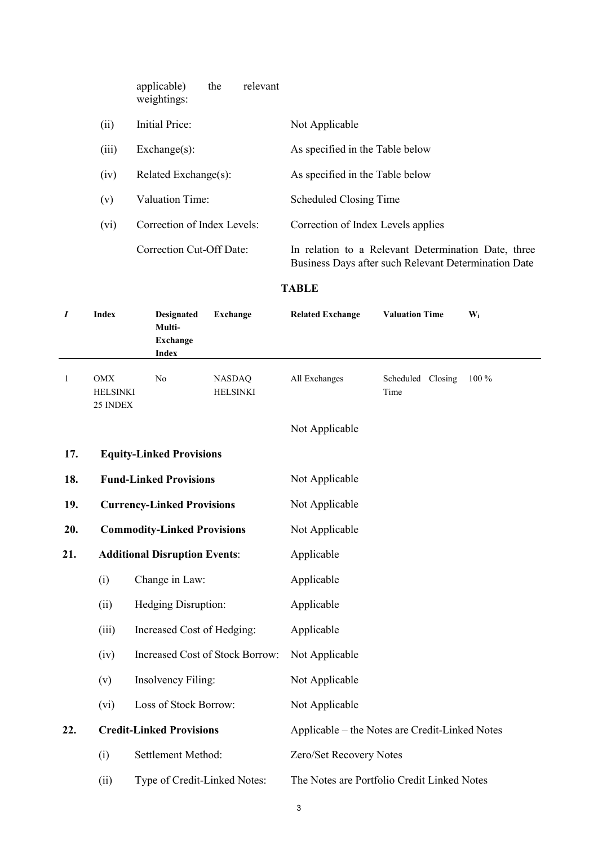|       | applicable)<br>relevant<br>the<br>weightings: |                                                                                                             |
|-------|-----------------------------------------------|-------------------------------------------------------------------------------------------------------------|
| (ii)  | Initial Price:                                | Not Applicable                                                                                              |
| (iii) | $Exchange(s)$ :                               | As specified in the Table below                                                                             |
| (iv)  | Related Exchange(s):                          | As specified in the Table below                                                                             |
| (v)   | Valuation Time:                               | Scheduled Closing Time                                                                                      |
| (vi)  | Correction of Index Levels:                   | Correction of Index Levels applies                                                                          |
|       | Correction Cut-Off Date:                      | In relation to a Relevant Determination Date, three<br>Business Days after such Relevant Determination Date |

# **TABLE**

| $\boldsymbol{I}$ | <b>Index</b>                       | <b>Designated</b><br>Multi-<br><b>Exchange</b><br><b>Index</b> | <b>Exchange</b>                  | <b>Related Exchange</b>                        | <b>Valuation Time</b>     | $\mathbf{W}_i$ |  |  |
|------------------|------------------------------------|----------------------------------------------------------------|----------------------------------|------------------------------------------------|---------------------------|----------------|--|--|
| $\mathbf{1}$     | OMX<br><b>HELSINKI</b><br>25 INDEX | No                                                             | <b>NASDAQ</b><br><b>HELSINKI</b> | All Exchanges                                  | Scheduled Closing<br>Time | 100 %          |  |  |
|                  |                                    |                                                                |                                  | Not Applicable                                 |                           |                |  |  |
| 17.              |                                    | <b>Equity-Linked Provisions</b>                                |                                  |                                                |                           |                |  |  |
| 18.              |                                    | <b>Fund-Linked Provisions</b>                                  |                                  | Not Applicable                                 |                           |                |  |  |
| 19.              | <b>Currency-Linked Provisions</b>  |                                                                |                                  | Not Applicable                                 |                           |                |  |  |
| 20.              |                                    | <b>Commodity-Linked Provisions</b>                             |                                  | Not Applicable                                 |                           |                |  |  |
| 21.              |                                    | <b>Additional Disruption Events:</b>                           |                                  | Applicable                                     |                           |                |  |  |
|                  | (i)                                | Change in Law:                                                 |                                  | Applicable                                     |                           |                |  |  |
|                  | (ii)                               | Hedging Disruption:                                            |                                  | Applicable                                     |                           |                |  |  |
|                  | (iii)                              | Increased Cost of Hedging:                                     |                                  | Applicable                                     |                           |                |  |  |
|                  | (iv)                               |                                                                | Increased Cost of Stock Borrow:  | Not Applicable                                 |                           |                |  |  |
|                  | (v)                                | Insolvency Filing:                                             |                                  | Not Applicable                                 |                           |                |  |  |
|                  | (vi)                               | Loss of Stock Borrow:                                          |                                  | Not Applicable                                 |                           |                |  |  |
| 22.              |                                    | <b>Credit-Linked Provisions</b>                                |                                  | Applicable – the Notes are Credit-Linked Notes |                           |                |  |  |
|                  | (i)                                | Settlement Method:                                             |                                  | Zero/Set Recovery Notes                        |                           |                |  |  |
|                  | (ii)                               | Type of Credit-Linked Notes:                                   |                                  | The Notes are Portfolio Credit Linked Notes    |                           |                |  |  |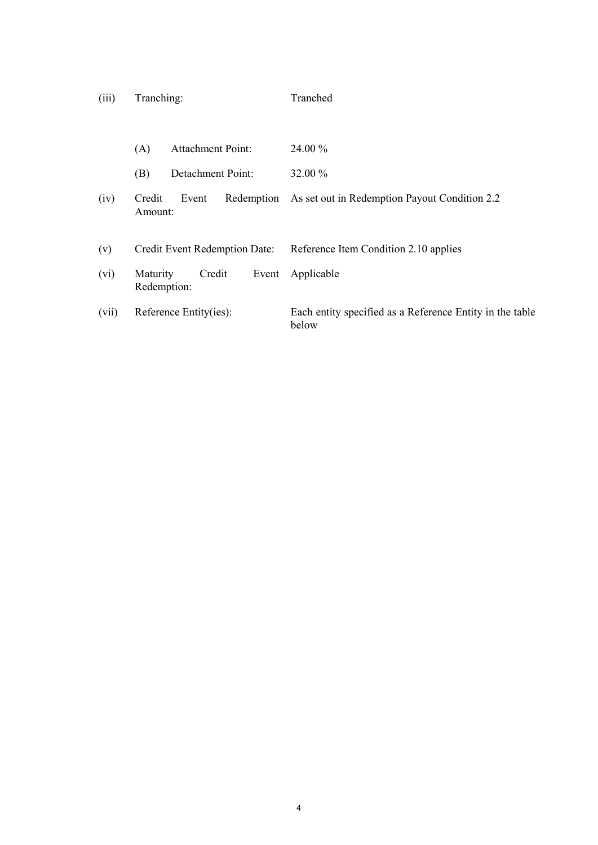| (iii) | Tranching: | Tranched |
|-------|------------|----------|
|       |            |          |

|       | (A)                           | <b>Attachment Point:</b> |            | 24.00 %                                                           |
|-------|-------------------------------|--------------------------|------------|-------------------------------------------------------------------|
|       | (B)                           | Detachment Point:        |            | 32.00 %                                                           |
| (iv)  | Credit<br>Amount:             | Event                    | Redemption | As set out in Redemption Payout Condition 2.2                     |
| (v)   | Credit Event Redemption Date: |                          |            | Reference Item Condition 2.10 applies                             |
| (vi)  | Maturity<br>Redemption:       | Credit                   | Event      | Applicable                                                        |
| (vii) |                               | Reference Entity(ies):   |            | Each entity specified as a Reference Entity in the table<br>below |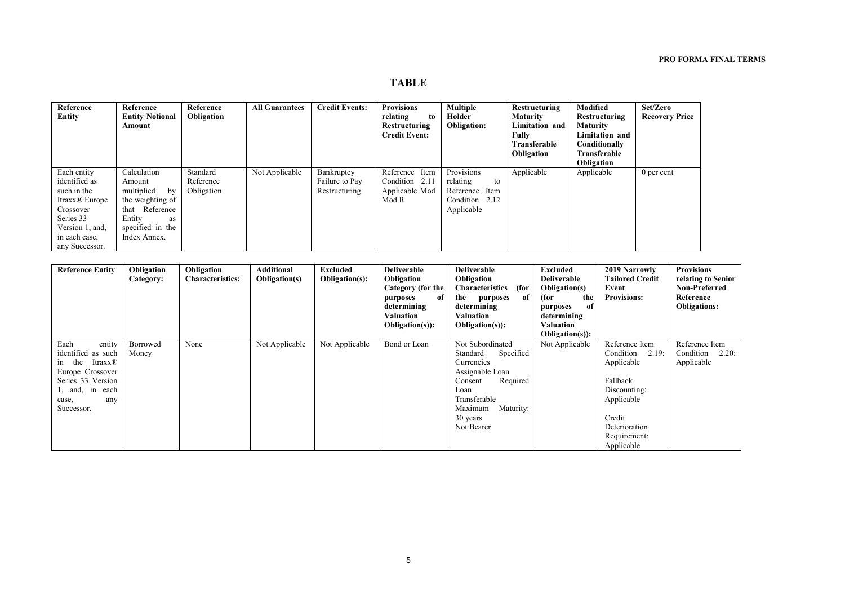# **TABLE**

| <b>Reference</b>           | Reference              | Reference  | <b>All Guarantees</b> | <b>Credit Events:</b> | <b>Provisions</b>    | <b>Multiple</b>    | Restructuring         | Modified              | Set/Zero              |
|----------------------------|------------------------|------------|-----------------------|-----------------------|----------------------|--------------------|-----------------------|-----------------------|-----------------------|
| Entity                     | <b>Entity Notional</b> | Obligation |                       |                       | relating<br>to       | Holder             | <b>Maturity</b>       | <b>Restructuring</b>  | <b>Recovery Price</b> |
|                            | Amount                 |            |                       |                       | Restructuring        | <b>Obligation:</b> | <b>Limitation</b> and | <b>Maturity</b>       |                       |
|                            |                        |            |                       |                       | <b>Credit Event:</b> |                    | Fully                 | <b>Limitation and</b> |                       |
|                            |                        |            |                       |                       |                      |                    | Transferable          | Conditionally         |                       |
|                            |                        |            |                       |                       |                      |                    | Obligation            | Transferable          |                       |
|                            |                        |            |                       |                       |                      |                    |                       | <b>Obligation</b>     |                       |
| Each entity                | Calculation            | Standard   | Not Applicable        | Bankruptcy            | Reference Item       | Provisions         | Applicable            | Applicable            | $0$ per cent          |
| identified as              | Amount                 | Reference  |                       | Failure to Pay        | Condition 2.11       | relating<br>to     |                       |                       |                       |
| such in the                | multiplied<br>by       | Obligation |                       | Restructuring         | Applicable Mod       | Reference Item     |                       |                       |                       |
| Itraxx <sup>®</sup> Europe | the weighting of       |            |                       |                       | Mod R                | Condition 2.12     |                       |                       |                       |
| Crossover                  | Reference<br>that      |            |                       |                       |                      | Applicable         |                       |                       |                       |
| Series 33                  | Entity<br>as           |            |                       |                       |                      |                    |                       |                       |                       |
| Version 1, and,            | specified in the       |            |                       |                       |                      |                    |                       |                       |                       |
| in each case,              | Index Annex.           |            |                       |                       |                      |                    |                       |                       |                       |
| any Successor.             |                        |            |                       |                       |                      |                    |                       |                       |                       |

| <b>Reference Entity</b>                                                                                                                                | Obligation<br>Category: | Obligation<br><b>Characteristics:</b> | Additional<br>Obligation(s) | Excluded<br>Obligation(s): | <b>Deliverable</b><br>Obligation<br>Category (for the<br>of<br>purposes<br>determining<br>Valuation<br>$Obligation(s):$ | <b>Deliverable</b><br>Obligation<br>(for<br><b>Characteristics</b><br>the<br>of<br>purposes<br>determining<br>Valuation<br>$Obligation(s):$                                 | <b>Excluded</b><br><b>Deliverable</b><br><b>Obligation(s)</b><br>(for<br>the<br>of<br>purposes<br>determining<br>Valuation<br><b>Obligation(s):</b> | 2019 Narrowly<br><b>Tailored Credit</b><br>Event<br><b>Provisions:</b>                                                                                | <b>Provisions</b><br>relating to Senior<br><b>Non-Preferred</b><br>Reference<br><b>Obligations:</b> |
|--------------------------------------------------------------------------------------------------------------------------------------------------------|-------------------------|---------------------------------------|-----------------------------|----------------------------|-------------------------------------------------------------------------------------------------------------------------|-----------------------------------------------------------------------------------------------------------------------------------------------------------------------------|-----------------------------------------------------------------------------------------------------------------------------------------------------|-------------------------------------------------------------------------------------------------------------------------------------------------------|-----------------------------------------------------------------------------------------------------|
| Each<br>entity<br>identified as such<br>the<br>Itraxx®<br>1n<br>Europe Crossover<br>Series 33 Version<br>1, and, in each<br>any<br>case,<br>Successor. | Borrowed<br>Money       | None                                  | Not Applicable              | Not Applicable             | Bond or Loan                                                                                                            | Not Subordinated<br>Specified<br>Standard<br>Currencies<br>Assignable Loan<br>Required<br>Consent<br>Loan<br>Transferable<br>Maximum<br>Maturity:<br>30 years<br>Not Bearer | Not Applicable                                                                                                                                      | Reference Item<br>Condition<br>2.19:<br>Applicable<br>Fallback<br>Discounting:<br>Applicable<br>Credit<br>Deterioration<br>Requirement:<br>Applicable | Reference Item<br>2.20:<br>Condition<br>Applicable                                                  |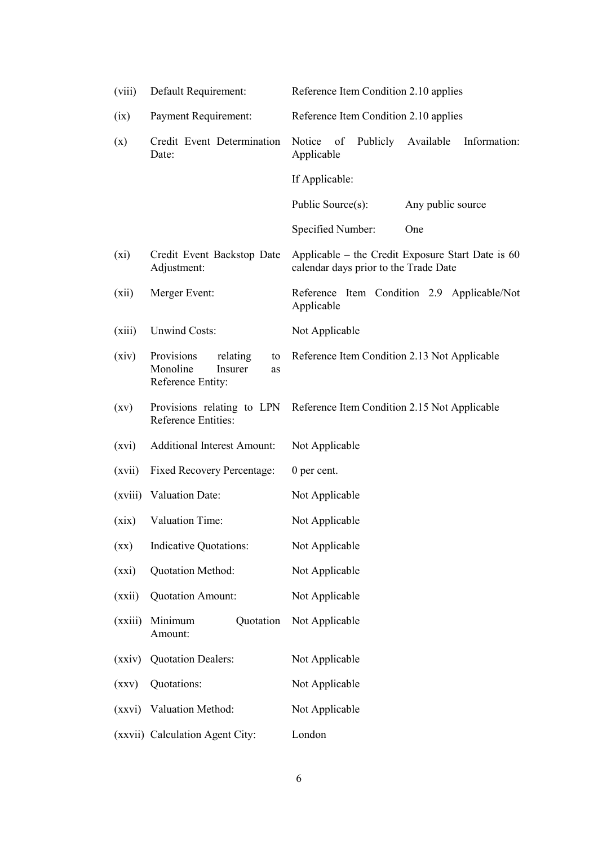| (viii)             | Default Requirement:                                                           | Reference Item Condition 2.10 applies                                                        |  |  |
|--------------------|--------------------------------------------------------------------------------|----------------------------------------------------------------------------------------------|--|--|
| (ix)               | <b>Payment Requirement:</b>                                                    | Reference Item Condition 2.10 applies                                                        |  |  |
| (x)                | Credit Event Determination<br>Date:                                            | Publicly<br>Available<br>Notice<br>of<br>Information:<br>Applicable                          |  |  |
|                    |                                                                                | If Applicable:                                                                               |  |  |
|                    |                                                                                | Public Source(s):<br>Any public source                                                       |  |  |
|                    |                                                                                | Specified Number:<br>One                                                                     |  |  |
| $(x_i)$            | Credit Event Backstop Date<br>Adjustment:                                      | Applicable – the Credit Exposure Start Date is $60$<br>calendar days prior to the Trade Date |  |  |
| (xii)              | Merger Event:                                                                  | Reference Item Condition 2.9 Applicable/Not<br>Applicable                                    |  |  |
| (xiii)             | <b>Unwind Costs:</b>                                                           | Not Applicable                                                                               |  |  |
| (xiv)              | Provisions<br>relating<br>to<br>Monoline<br>Insurer<br>as<br>Reference Entity: | Reference Item Condition 2.13 Not Applicable                                                 |  |  |
| $\left( xy\right)$ | Provisions relating to LPN<br>Reference Entities:                              | Reference Item Condition 2.15 Not Applicable                                                 |  |  |
| (xvi)              | <b>Additional Interest Amount:</b>                                             | Not Applicable                                                                               |  |  |
| (xvii)             | <b>Fixed Recovery Percentage:</b>                                              | 0 per cent.                                                                                  |  |  |
|                    | (xviii) Valuation Date:                                                        | Not Applicable                                                                               |  |  |
| (xix)              | Valuation Time:                                                                | Not Applicable                                                                               |  |  |
| $\left( xx\right)$ | <b>Indicative Quotations:</b>                                                  | Not Applicable                                                                               |  |  |
| (xxi)              | Quotation Method:                                                              | Not Applicable                                                                               |  |  |
| (xxii)             | <b>Quotation Amount:</b>                                                       | Not Applicable                                                                               |  |  |
| (xxiii)            | Minimum<br>Quotation<br>Amount:                                                | Not Applicable                                                                               |  |  |
| (xxiv)             | <b>Quotation Dealers:</b>                                                      | Not Applicable                                                                               |  |  |
| (xxy)              | Quotations:                                                                    | Not Applicable                                                                               |  |  |
| (xxvi)             | Valuation Method:                                                              | Not Applicable                                                                               |  |  |
|                    | (xxvii) Calculation Agent City:                                                | London                                                                                       |  |  |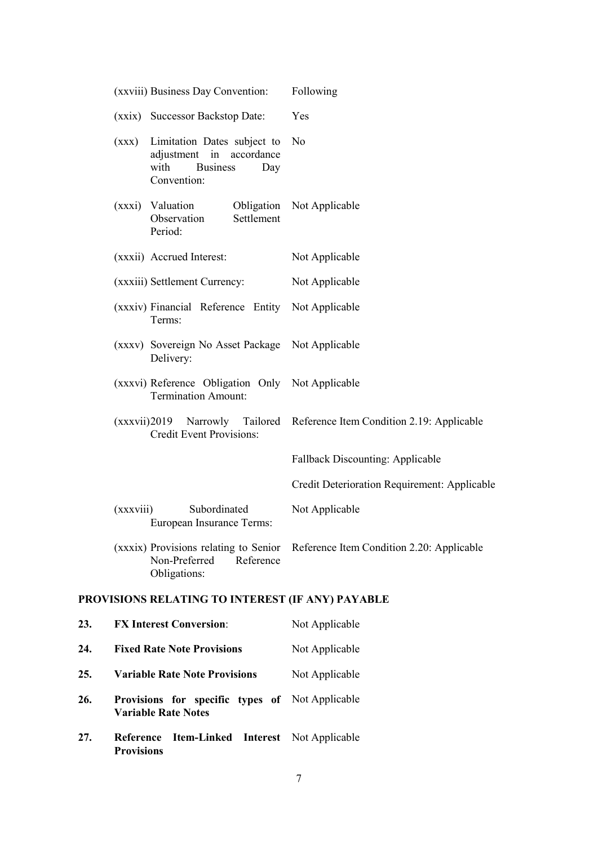|     |                                | (xxviii) Business Day Convention:                                                               |            | Following                                                                       |
|-----|--------------------------------|-------------------------------------------------------------------------------------------------|------------|---------------------------------------------------------------------------------|
|     |                                | (xxix) Successor Backstop Date:                                                                 |            | Yes                                                                             |
|     | with                           | (xxx) Limitation Dates subject to<br>adjustment in accordance<br><b>Business</b><br>Convention: | Day        | No                                                                              |
|     | (xxxi) Valuation               | Observation<br>Period:                                                                          | Settlement | Obligation Not Applicable                                                       |
|     |                                | (xxxii) Accrued Interest:                                                                       |            | Not Applicable                                                                  |
|     |                                | (xxxiii) Settlement Currency:                                                                   |            | Not Applicable                                                                  |
|     |                                | (xxxiv) Financial Reference Entity<br>Terms:                                                    |            | Not Applicable                                                                  |
|     |                                | (xxxv) Sovereign No Asset Package Not Applicable<br>Delivery:                                   |            |                                                                                 |
|     |                                | (xxxvi) Reference Obligation Only Not Applicable<br><b>Termination Amount:</b>                  |            |                                                                                 |
|     |                                | <b>Credit Event Provisions:</b>                                                                 |            | (xxxvii)2019 Narrowly Tailored Reference Item Condition 2.19: Applicable        |
|     |                                |                                                                                                 |            | Fallback Discounting: Applicable                                                |
|     |                                |                                                                                                 |            | Credit Deterioration Requirement: Applicable                                    |
|     | (xxxviii)                      | Subordinated<br>European Insurance Terms:                                                       |            | Not Applicable                                                                  |
|     |                                | Non-Preferred<br>Obligations:                                                                   | Reference  | (xxxix) Provisions relating to Senior Reference Item Condition 2.20: Applicable |
|     |                                |                                                                                                 |            | PROVISIONS RELATING TO INTEREST (IF ANY) PAYABLE                                |
| 23. |                                | <b>FX Interest Conversion:</b>                                                                  |            | Not Applicable                                                                  |
| 24. |                                | <b>Fixed Rate Note Provisions</b>                                                               |            | Not Applicable                                                                  |
| 25. |                                | <b>Variable Rate Note Provisions</b>                                                            |            | Not Applicable                                                                  |
| 26. | <b>Variable Rate Notes</b>     | Provisions for specific types of Not Applicable                                                 |            |                                                                                 |
| 27. | Reference<br><b>Provisions</b> |                                                                                                 |            | <b>Item-Linked Interest</b> Not Applicable                                      |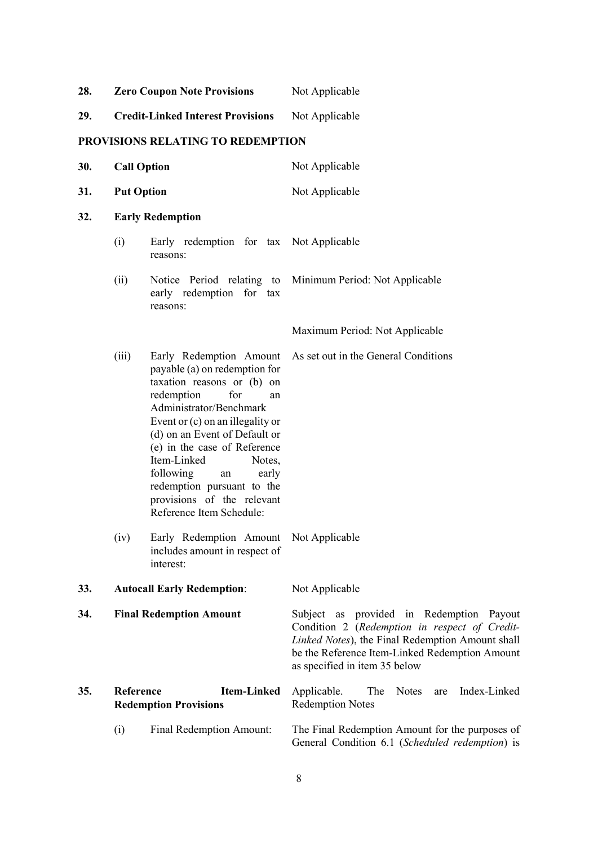| 28. |                    | <b>Zero Coupon Note Provisions</b>                                                                                                                                                                                                                                                                                                                                                               | Not Applicable                                                                                                                                                                                                                   |  |  |
|-----|--------------------|--------------------------------------------------------------------------------------------------------------------------------------------------------------------------------------------------------------------------------------------------------------------------------------------------------------------------------------------------------------------------------------------------|----------------------------------------------------------------------------------------------------------------------------------------------------------------------------------------------------------------------------------|--|--|
| 29. |                    | <b>Credit-Linked Interest Provisions</b>                                                                                                                                                                                                                                                                                                                                                         | Not Applicable                                                                                                                                                                                                                   |  |  |
|     |                    | PROVISIONS RELATING TO REDEMPTION                                                                                                                                                                                                                                                                                                                                                                |                                                                                                                                                                                                                                  |  |  |
| 30. | <b>Call Option</b> |                                                                                                                                                                                                                                                                                                                                                                                                  | Not Applicable                                                                                                                                                                                                                   |  |  |
| 31. | <b>Put Option</b>  |                                                                                                                                                                                                                                                                                                                                                                                                  | Not Applicable                                                                                                                                                                                                                   |  |  |
| 32. |                    | <b>Early Redemption</b>                                                                                                                                                                                                                                                                                                                                                                          |                                                                                                                                                                                                                                  |  |  |
|     | (i)                | Early redemption for tax Not Applicable<br>reasons:                                                                                                                                                                                                                                                                                                                                              |                                                                                                                                                                                                                                  |  |  |
|     | (ii)               | Notice Period relating to<br>early redemption for tax<br>reasons:                                                                                                                                                                                                                                                                                                                                | Minimum Period: Not Applicable                                                                                                                                                                                                   |  |  |
|     |                    |                                                                                                                                                                                                                                                                                                                                                                                                  | Maximum Period: Not Applicable                                                                                                                                                                                                   |  |  |
|     | (iii)              | Early Redemption Amount<br>payable (a) on redemption for<br>taxation reasons or (b) on<br>redemption<br>for<br>an<br>Administrator/Benchmark<br>Event or $(c)$ on an illegality or<br>(d) on an Event of Default or<br>(e) in the case of Reference<br>Item-Linked<br>Notes,<br>following<br>early<br>an<br>redemption pursuant to the<br>provisions of the relevant<br>Reference Item Schedule: | As set out in the General Conditions                                                                                                                                                                                             |  |  |
|     | (iv)               | Early Redemption Amount Not Applicable<br>includes amount in respect of<br>interest:                                                                                                                                                                                                                                                                                                             |                                                                                                                                                                                                                                  |  |  |
| 33. |                    | <b>Autocall Early Redemption:</b>                                                                                                                                                                                                                                                                                                                                                                | Not Applicable                                                                                                                                                                                                                   |  |  |
| 34. |                    | <b>Final Redemption Amount</b>                                                                                                                                                                                                                                                                                                                                                                   | Subject as provided in Redemption Payout<br>Condition 2 (Redemption in respect of Credit-<br>Linked Notes), the Final Redemption Amount shall<br>be the Reference Item-Linked Redemption Amount<br>as specified in item 35 below |  |  |
| 35. | Reference          | <b>Item-Linked</b><br><b>Redemption Provisions</b>                                                                                                                                                                                                                                                                                                                                               | Index-Linked<br>Applicable.<br>The<br><b>Notes</b><br>are<br><b>Redemption Notes</b>                                                                                                                                             |  |  |
|     | (i)                | Final Redemption Amount:                                                                                                                                                                                                                                                                                                                                                                         | The Final Redemption Amount for the purposes of<br>General Condition 6.1 (Scheduled redemption) is                                                                                                                               |  |  |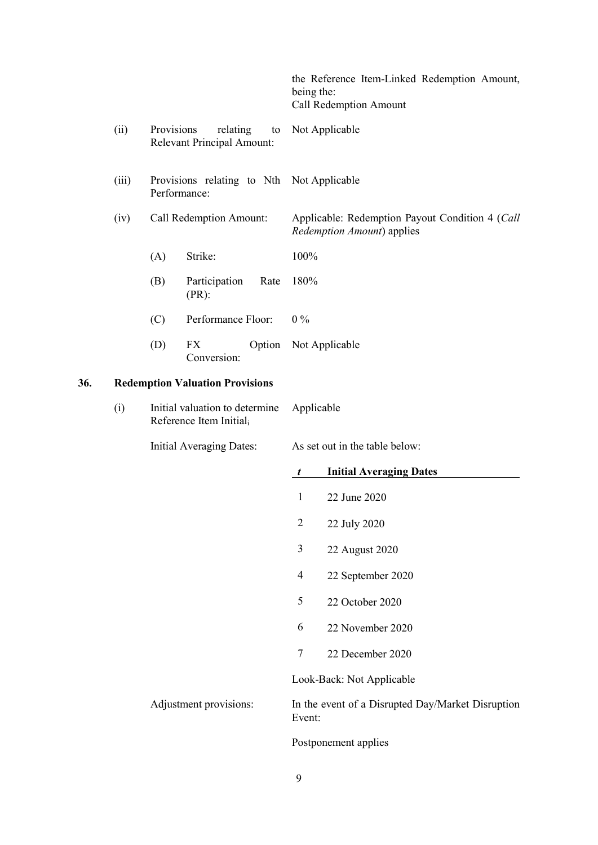|       |                                                           |                                                                            | the Reference Item-Linked Redemption Amount,<br>being the:<br>Call Redemption Amount  |
|-------|-----------------------------------------------------------|----------------------------------------------------------------------------|---------------------------------------------------------------------------------------|
| (ii)  |                                                           | Provisions relating to Not Applicable<br><b>Relevant Principal Amount:</b> |                                                                                       |
| (iii) | Provisions relating to Nth Not Applicable<br>Performance: |                                                                            |                                                                                       |
| (iv)  | Call Redemption Amount:                                   |                                                                            | Applicable: Redemption Payout Condition 4 (Call<br><i>Redemption Amount</i> ) applies |
|       | (A)                                                       | Strike:                                                                    | 100%                                                                                  |
|       | (B)                                                       | Participation<br>Rate<br>$(PR)$ :                                          | 180%                                                                                  |
|       | (C)                                                       | Performance Floor:                                                         | $0\%$                                                                                 |
|       | (D)                                                       | Option<br>FX.<br>Conversion:                                               | Not Applicable                                                                        |

# **36. Redemption Valuation Provisions**

| (i) | Initial valuation to determine | Applicable |
|-----|--------------------------------|------------|
|     | Reference Item Initial.        |            |

| <b>Initial Averaging Dates:</b>  | As set out in the table below: |                                                   |  |
|----------------------------------|--------------------------------|---------------------------------------------------|--|
|                                  | t                              | <b>Initial Averaging Dates</b>                    |  |
|                                  | 1                              | 22 June 2020                                      |  |
|                                  | $\overline{2}$                 | 22 July 2020                                      |  |
|                                  | 3                              | 22 August 2020                                    |  |
|                                  | 4                              | 22 September 2020                                 |  |
|                                  | 5                              | 22 October 2020                                   |  |
|                                  | 6                              | 22 November 2020                                  |  |
|                                  | 7                              | 22 December 2020                                  |  |
|                                  |                                | Look-Back: Not Applicable                         |  |
| Adjustment provisions:<br>Event: |                                | In the event of a Disrupted Day/Market Disruption |  |
|                                  |                                | Postponement applies                              |  |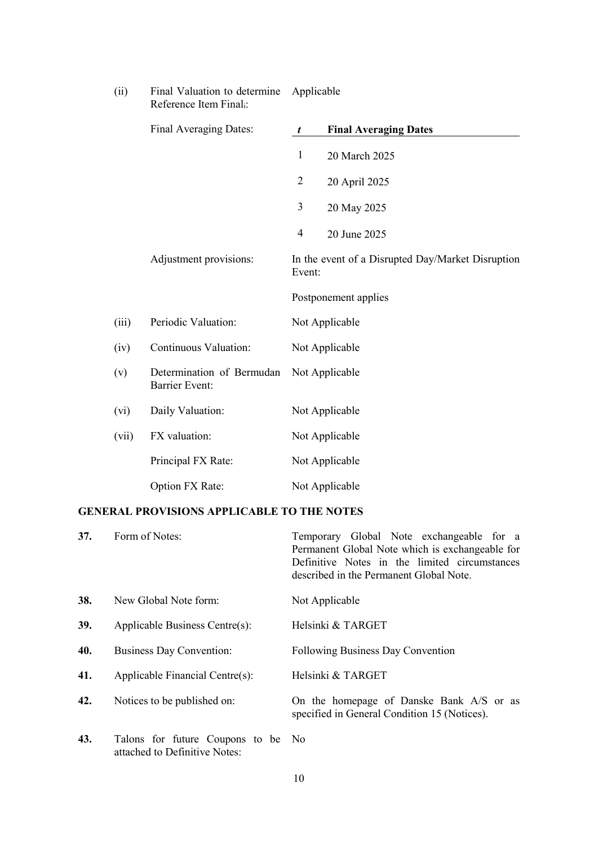|       | Reference nem Finan-                               |                |                                                   |  |
|-------|----------------------------------------------------|----------------|---------------------------------------------------|--|
|       | Final Averaging Dates:                             | t              | <b>Final Averaging Dates</b>                      |  |
|       |                                                    | $\mathbf{1}$   | 20 March 2025                                     |  |
|       |                                                    | $\overline{2}$ | 20 April 2025                                     |  |
|       |                                                    | 3              | 20 May 2025                                       |  |
|       |                                                    | $\overline{4}$ | 20 June 2025                                      |  |
|       | Adjustment provisions:                             | Event:         | In the event of a Disrupted Day/Market Disruption |  |
|       |                                                    |                | Postponement applies                              |  |
| (iii) | Periodic Valuation:                                |                | Not Applicable                                    |  |
| (iv)  | Continuous Valuation:                              |                | Not Applicable                                    |  |
| (v)   | Determination of Bermudan<br><b>Barrier Event:</b> |                | Not Applicable                                    |  |
| (vi)  | Daily Valuation:                                   |                | Not Applicable                                    |  |
| (vii) | FX valuation:                                      |                | Not Applicable                                    |  |
|       | Principal FX Rate:                                 |                | Not Applicable                                    |  |
|       | Option FX Rate:                                    |                | Not Applicable                                    |  |

#### (ii) Final Valuation to determine Reference Item Finali: Applicable

# **GENERAL PROVISIONS APPLICABLE TO THE NOTES**

| 37. | Form of Notes:                                                      | Temporary Global Note exchangeable for a<br>Permanent Global Note which is exchangeable for<br>Definitive Notes in the limited circumstances<br>described in the Permanent Global Note. |
|-----|---------------------------------------------------------------------|-----------------------------------------------------------------------------------------------------------------------------------------------------------------------------------------|
| 38. | New Global Note form:                                               | Not Applicable                                                                                                                                                                          |
| 39. | Applicable Business Centre(s):                                      | Helsinki & TARGET                                                                                                                                                                       |
| 40. | Business Day Convention:                                            | <b>Following Business Day Convention</b>                                                                                                                                                |
| 41. | Applicable Financial Centre(s):                                     | Helsinki & TARGET                                                                                                                                                                       |
| 42. | Notices to be published on:                                         | On the homepage of Danske Bank A/S or as<br>specified in General Condition 15 (Notices).                                                                                                |
| 43. | Talons for future Coupons to be No<br>attached to Definitive Notes: |                                                                                                                                                                                         |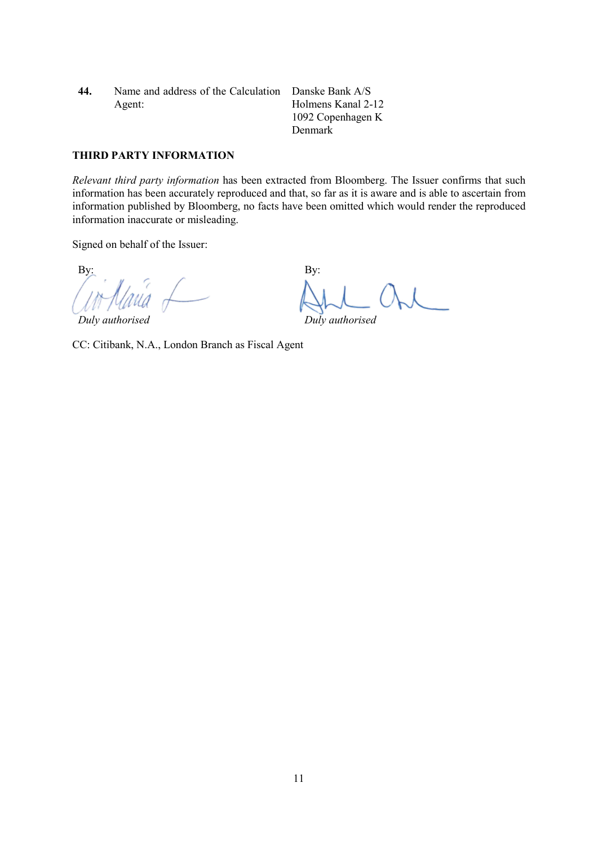**44.** Name and address of the Calculation Danske Bank A/S Agent:

Holmens Kanal 2-12 1092 Copenhagen K Denmark

### **THIRD PARTY INFORMATION**

*Relevant third party information* has been extracted from Bloomberg. The Issuer confirms that such information has been accurately reproduced and that, so far as it is aware and is able to ascertain from information published by Bloomberg, no facts have been omitted which would render the reproduced information inaccurate or misleading.

Signed on behalf of the Issuer:

 $\mathbf{B} \mathbf{y}$ :  $\mathbf{B} \mathbf{y}$ :

*Duly authorised Duly authorised*

CC: Citibank, N.A., London Branch as Fiscal Agent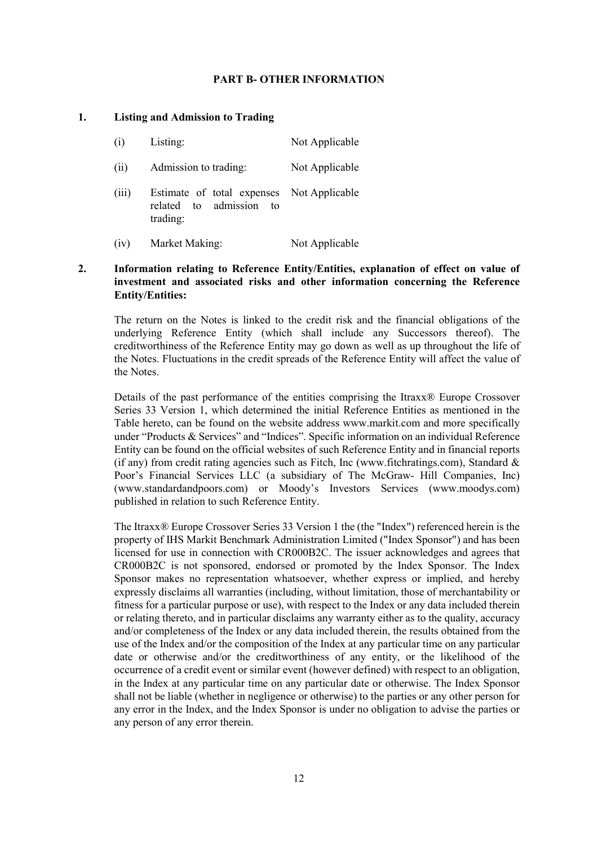### **PART B- OTHER INFORMATION**

### **1. Listing and Admission to Trading**

| (i)   | Listing:                                                                            | Not Applicable |
|-------|-------------------------------------------------------------------------------------|----------------|
| (ii)  | Admission to trading:                                                               | Not Applicable |
| (iii) | Estimate of total expenses Not Applicable<br>related to admission<br>to<br>trading: |                |
| (iv)  | Market Making:                                                                      | Not Applicable |

# **2. Information relating to Reference Entity/Entities, explanation of effect on value of investment and associated risks and other information concerning the Reference Entity/Entities:**

The return on the Notes is linked to the credit risk and the financial obligations of the underlying Reference Entity (which shall include any Successors thereof). The creditworthiness of the Reference Entity may go down as well as up throughout the life of the Notes. Fluctuations in the credit spreads of the Reference Entity will affect the value of the Notes.

Details of the past performance of the entities comprising the Itraxx® Europe Crossover Series 33 Version 1, which determined the initial Reference Entities as mentioned in the Table hereto, can be found on the website address www.markit.com and more specifically under "Products & Services" and "Indices". Specific information on an individual Reference Entity can be found on the official websites of such Reference Entity and in financial reports (if any) from credit rating agencies such as Fitch, Inc (www.fitchratings.com), Standard  $\&$ Poor's Financial Services LLC (a subsidiary of The McGraw- Hill Companies, Inc) (www.standardandpoors.com) or Moody's Investors Services (www.moodys.com) published in relation to such Reference Entity.

The Itraxx® Europe Crossover Series 33 Version 1 the (the "Index") referenced herein is the property of IHS Markit Benchmark Administration Limited ("Index Sponsor") and has been licensed for use in connection with CR000B2C. The issuer acknowledges and agrees that CR000B2C is not sponsored, endorsed or promoted by the Index Sponsor. The Index Sponsor makes no representation whatsoever, whether express or implied, and hereby expressly disclaims all warranties (including, without limitation, those of merchantability or fitness for a particular purpose or use), with respect to the Index or any data included therein or relating thereto, and in particular disclaims any warranty either as to the quality, accuracy and/or completeness of the Index or any data included therein, the results obtained from the use of the Index and/or the composition of the Index at any particular time on any particular date or otherwise and/or the creditworthiness of any entity, or the likelihood of the occurrence of a credit event or similar event (however defined) with respect to an obligation, in the Index at any particular time on any particular date or otherwise. The Index Sponsor shall not be liable (whether in negligence or otherwise) to the parties or any other person for any error in the Index, and the Index Sponsor is under no obligation to advise the parties or any person of any error therein.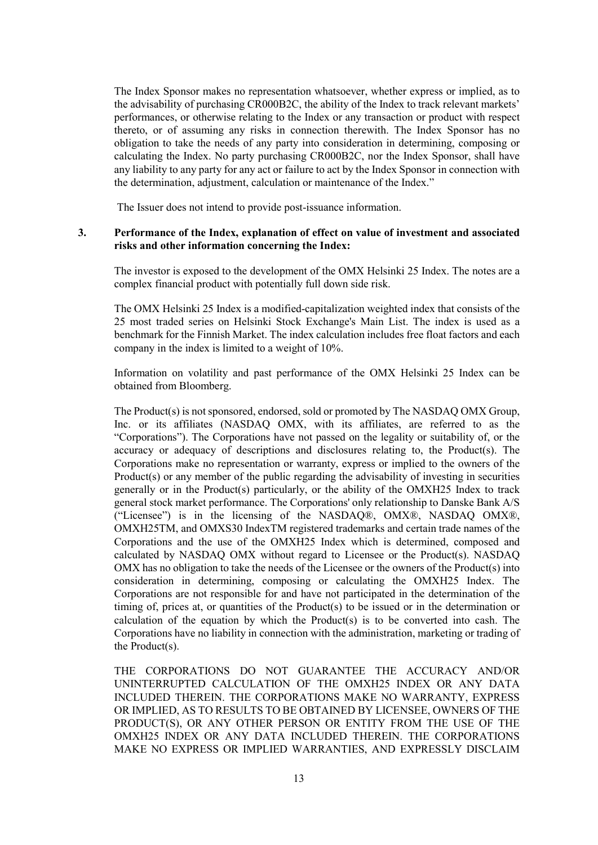The Index Sponsor makes no representation whatsoever, whether express or implied, as to the advisability of purchasing CR000B2C, the ability of the Index to track relevant markets' performances, or otherwise relating to the Index or any transaction or product with respect thereto, or of assuming any risks in connection therewith. The Index Sponsor has no obligation to take the needs of any party into consideration in determining, composing or calculating the Index. No party purchasing CR000B2C, nor the Index Sponsor, shall have any liability to any party for any act or failure to act by the Index Sponsor in connection with the determination, adjustment, calculation or maintenance of the Index."

The Issuer does not intend to provide post-issuance information.

### **3. Performance of the Index, explanation of effect on value of investment and associated risks and other information concerning the Index:**

The investor is exposed to the development of the OMX Helsinki 25 Index. The notes are a complex financial product with potentially full down side risk.

The OMX Helsinki 25 Index is a modified-capitalization weighted index that consists of the 25 most traded series on Helsinki Stock Exchange's Main List. The index is used as a benchmark for the Finnish Market. The index calculation includes free float factors and each company in the index is limited to a weight of 10%.

Information on volatility and past performance of the OMX Helsinki 25 Index can be obtained from Bloomberg.

The Product(s) is not sponsored, endorsed, sold or promoted by The NASDAQ OMX Group, Inc. or its affiliates (NASDAQ OMX, with its affiliates, are referred to as the "Corporations"). The Corporations have not passed on the legality or suitability of, or the accuracy or adequacy of descriptions and disclosures relating to, the Product(s). The Corporations make no representation or warranty, express or implied to the owners of the Product(s) or any member of the public regarding the advisability of investing in securities generally or in the Product(s) particularly, or the ability of the OMXH25 Index to track general stock market performance. The Corporations' only relationship to Danske Bank A/S ("Licensee") is in the licensing of the NASDAQ®, OMX®, NASDAQ OMX®, OMXH25TM, and OMXS30 IndexTM registered trademarks and certain trade names of the Corporations and the use of the OMXH25 Index which is determined, composed and calculated by NASDAQ OMX without regard to Licensee or the Product(s). NASDAQ OMX has no obligation to take the needs of the Licensee or the owners of the Product(s) into consideration in determining, composing or calculating the OMXH25 Index. The Corporations are not responsible for and have not participated in the determination of the timing of, prices at, or quantities of the Product(s) to be issued or in the determination or calculation of the equation by which the Product(s) is to be converted into cash. The Corporations have no liability in connection with the administration, marketing or trading of the Product(s).

THE CORPORATIONS DO NOT GUARANTEE THE ACCURACY AND/OR UNINTERRUPTED CALCULATION OF THE OMXH25 INDEX OR ANY DATA INCLUDED THEREIN. THE CORPORATIONS MAKE NO WARRANTY, EXPRESS OR IMPLIED, AS TO RESULTS TO BE OBTAINED BY LICENSEE, OWNERS OF THE PRODUCT(S), OR ANY OTHER PERSON OR ENTITY FROM THE USE OF THE OMXH25 INDEX OR ANY DATA INCLUDED THEREIN. THE CORPORATIONS MAKE NO EXPRESS OR IMPLIED WARRANTIES, AND EXPRESSLY DISCLAIM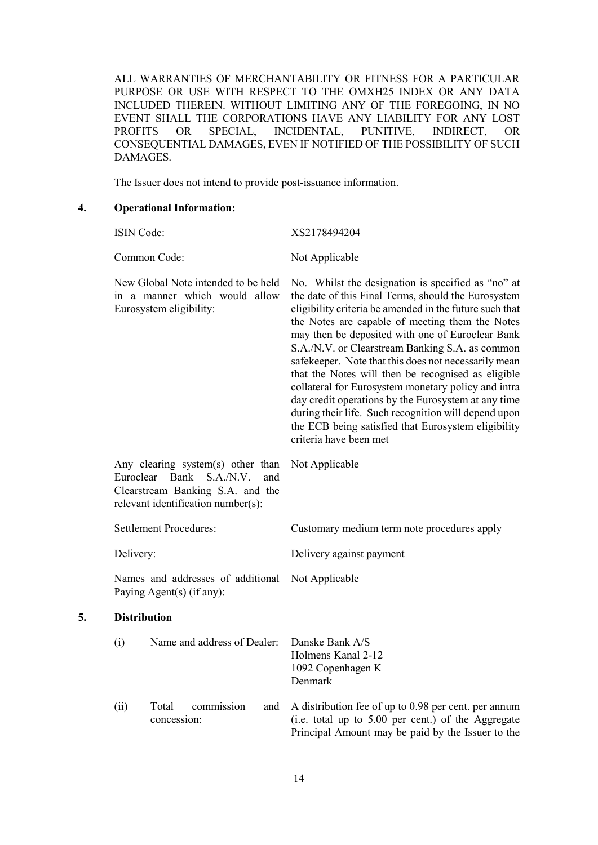ALL WARRANTIES OF MERCHANTABILITY OR FITNESS FOR A PARTICULAR PURPOSE OR USE WITH RESPECT TO THE OMXH25 INDEX OR ANY DATA INCLUDED THEREIN. WITHOUT LIMITING ANY OF THE FOREGOING, IN NO EVENT SHALL THE CORPORATIONS HAVE ANY LIABILITY FOR ANY LOST PROFITS OR SPECIAL, INCIDENTAL, PUNITIVE, INDIRECT, OR CONSEQUENTIAL DAMAGES, EVEN IF NOTIFIED OF THE POSSIBILITY OF SUCH DAMAGES.

The Issuer does not intend to provide post-issuance information.

**4. Operational Information:**

|    | ISIN Code:          |                                                                                                                                                  | XS2178494204                                                                                                                                                                                                                                                                                                                                                                                                                                                                                                                                                                                                                                                                                        |
|----|---------------------|--------------------------------------------------------------------------------------------------------------------------------------------------|-----------------------------------------------------------------------------------------------------------------------------------------------------------------------------------------------------------------------------------------------------------------------------------------------------------------------------------------------------------------------------------------------------------------------------------------------------------------------------------------------------------------------------------------------------------------------------------------------------------------------------------------------------------------------------------------------------|
|    |                     | Common Code:                                                                                                                                     | Not Applicable                                                                                                                                                                                                                                                                                                                                                                                                                                                                                                                                                                                                                                                                                      |
|    |                     | New Global Note intended to be held<br>in a manner which would allow<br>Eurosystem eligibility:                                                  | No. Whilst the designation is specified as "no" at<br>the date of this Final Terms, should the Eurosystem<br>eligibility criteria be amended in the future such that<br>the Notes are capable of meeting them the Notes<br>may then be deposited with one of Euroclear Bank<br>S.A./N.V. or Clearstream Banking S.A. as common<br>safekeeper. Note that this does not necessarily mean<br>that the Notes will then be recognised as eligible<br>collateral for Eurosystem monetary policy and intra<br>day credit operations by the Eurosystem at any time<br>during their life. Such recognition will depend upon<br>the ECB being satisfied that Eurosystem eligibility<br>criteria have been met |
|    |                     | Any clearing system(s) other than<br>Euroclear Bank<br>S.A.N.V.<br>and<br>Clearstream Banking S.A. and the<br>relevant identification number(s): | Not Applicable                                                                                                                                                                                                                                                                                                                                                                                                                                                                                                                                                                                                                                                                                      |
|    |                     | <b>Settlement Procedures:</b>                                                                                                                    | Customary medium term note procedures apply                                                                                                                                                                                                                                                                                                                                                                                                                                                                                                                                                                                                                                                         |
|    | Delivery:           |                                                                                                                                                  | Delivery against payment                                                                                                                                                                                                                                                                                                                                                                                                                                                                                                                                                                                                                                                                            |
|    |                     | Names and addresses of additional<br>Paying Agent(s) (if any):                                                                                   | Not Applicable                                                                                                                                                                                                                                                                                                                                                                                                                                                                                                                                                                                                                                                                                      |
| 5. | <b>Distribution</b> |                                                                                                                                                  |                                                                                                                                                                                                                                                                                                                                                                                                                                                                                                                                                                                                                                                                                                     |
|    | (i)                 | Name and address of Dealer:                                                                                                                      | Danske Bank A/S<br>Holmens Kanal 2-12<br>1092 Copenhagen K<br>Denmark                                                                                                                                                                                                                                                                                                                                                                                                                                                                                                                                                                                                                               |
|    | (ii)                | commission<br>Total<br>and<br>concession:                                                                                                        | A distribution fee of up to 0.98 per cent. per annum<br>(i.e. total up to 5.00 per cent.) of the Aggregate<br>Principal Amount may be paid by the Issuer to the                                                                                                                                                                                                                                                                                                                                                                                                                                                                                                                                     |